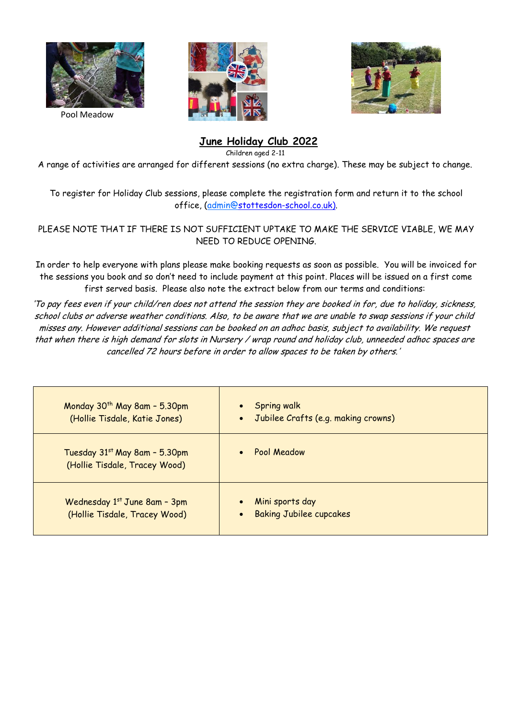

Pool Meadow





## **June Holiday Club 2022**

Children aged 2-11

A range of activities are arranged for different sessions (no extra charge). These may be subject to change.

To register for Holiday Club sessions, please complete the registration form and return it to the school office, (admin@stottesdon-school.co.uk).

PLEASE NOTE THAT IF THERE IS NOT SUFFICIENT UPTAKE TO MAKE THE SERVICE VIABLE, WE MAY NEED TO REDUCE OPENING.

In order to help everyone with plans please make booking requests as soon as possible. You will be invoiced for the sessions you book and so don't need to include payment at this point. Places will be issued on a first come first served basis. Please also note the extract below from our terms and conditions:

'To pay fees even if your child/ren does not attend the session they are booked in for, due to holiday, sickness, school clubs or adverse weather conditions. Also, to be aware that we are unable to swap sessions if your child misses any. However additional sessions can be booked on an adhoc basis, subject to availability. We request that when there is high demand for slots in Nursery / wrap round and holiday club, unneeded adhoc spaces are cancelled 72 hours before in order to allow spaces to be taken by others.'

| Monday 30 <sup>th</sup> May 8am - 5.30pm<br>(Hollie Tisdale, Katie Jones) | <b>Spring walk</b><br>$\bullet$<br>• Jubilee Crafts (e.g. making crowns)    |
|---------------------------------------------------------------------------|-----------------------------------------------------------------------------|
| Tuesday 31st May 8am - 5.30pm<br>(Hollie Tisdale, Tracey Wood)            | Pool Meadow<br>$\bullet$                                                    |
| Wednesday 1st June 8am - 3pm<br>(Hollie Tisdale, Tracey Wood)             | Mini sports day<br>$\bullet$<br><b>Baking Jubilee cupcakes</b><br>$\bullet$ |